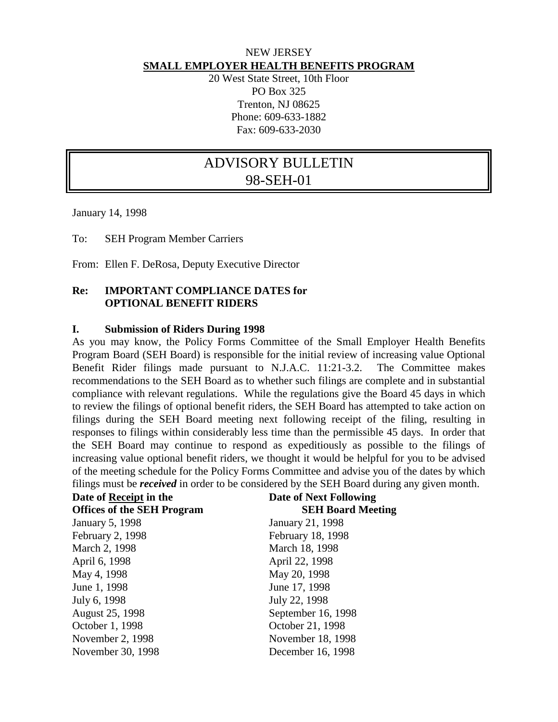### NEW JERSEY **SMALL EMPLOYER HEALTH BENEFITS PROGRAM**

20 West State Street, 10th Floor PO Box 325 Trenton, NJ 08625 Phone: 609-633-1882 Fax: 609-633-2030

# ADVISORY BULLETIN 98-SEH-01

January 14, 1998

To: SEH Program Member Carriers

From: Ellen F. DeRosa, Deputy Executive Director

#### **Re: IMPORTANT COMPLIANCE DATES for OPTIONAL BENEFIT RIDERS**

#### **I. Submission of Riders During 1998**

As you may know, the Policy Forms Committee of the Small Employer Health Benefits Program Board (SEH Board) is responsible for the initial review of increasing value Optional Benefit Rider filings made pursuant to N.J.A.C. 11:21-3.2. The Committee makes recommendations to the SEH Board as to whether such filings are complete and in substantial compliance with relevant regulations. While the regulations give the Board 45 days in which to review the filings of optional benefit riders, the SEH Board has attempted to take action on filings during the SEH Board meeting next following receipt of the filing, resulting in responses to filings within considerably less time than the permissible 45 days. In order that the SEH Board may continue to respond as expeditiously as possible to the filings of increasing value optional benefit riders, we thought it would be helpful for you to be advised of the meeting schedule for the Policy Forms Committee and advise you of the dates by which filings must be *received* in order to be considered by the SEH Board during any given month.

| <b>Date of Next Following</b> |
|-------------------------------|
| <b>SEH Board Meeting</b>      |
| January 21, 1998              |
| February 18, 1998             |
| March 18, 1998                |
| April 22, 1998                |
| May 20, 1998                  |
| June 17, 1998                 |
| July 22, 1998                 |
| September 16, 1998            |
| October 21, 1998              |
| November 18, 1998             |
| December 16, 1998             |
|                               |